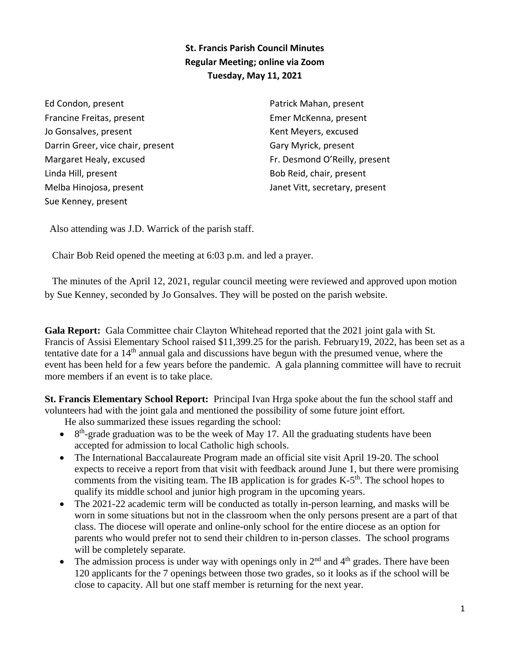## **St. Francis Parish Council Minutes Regular Meeting; online via Zoom Tuesday, May 11, 2021**

Ed Condon, present Francine Freitas, present Jo Gonsalves, present Darrin Greer, vice chair, present Margaret Healy, excused Linda Hill, present Melba Hinojosa, present Sue Kenney, present

Patrick Mahan, present Emer McKenna, present Kent Meyers, excused Gary Myrick, present Fr. Desmond O'Reilly, present Bob Reid, chair, present Janet Vitt, secretary, present

Also attending was J.D. Warrick of the parish staff.

Chair Bob Reid opened the meeting at 6:03 p.m. and led a prayer.

 The minutes of the April 12, 2021, regular council meeting were reviewed and approved upon motion by Sue Kenney, seconded by Jo Gonsalves. They will be posted on the parish website.

**Gala Report:** Gala Committee chair Clayton Whitehead reported that the 2021 joint gala with St. Francis of Assisi Elementary School raised \$11,399.25 for the parish. February19, 2022, has been set as a tentative date for a 14<sup>th</sup> annual gala and discussions have begun with the presumed venue, where the event has been held for a few years before the pandemic. A gala planning committee will have to recruit more members if an event is to take place.

**St. Francis Elementary School Report:** Principal Ivan Hrga spoke about the fun the school staff and volunteers had with the joint gala and mentioned the possibility of some future joint effort.

He also summarized these issues regarding the school:

- $\bullet$  8<sup>th</sup>-grade graduation was to be the week of May 17. All the graduating students have been accepted for admission to local Catholic high schools.
- The International Baccalaureate Program made an official site visit April 19-20. The school expects to receive a report from that visit with feedback around June 1, but there were promising comments from the visiting team. The IB application is for grades  $K-5<sup>th</sup>$ . The school hopes to qualify its middle school and junior high program in the upcoming years.
- The 2021-22 academic term will be conducted as totally in-person learning, and masks will be worn in some situations but not in the classroom when the only persons present are a part of that class. The diocese will operate and online-only school for the entire diocese as an option for parents who would prefer not to send their children to in-person classes. The school programs will be completely separate.
- The admission process is under way with openings only in  $2<sup>nd</sup>$  and  $4<sup>th</sup>$  grades. There have been 120 applicants for the 7 openings between those two grades, so it looks as if the school will be close to capacity. All but one staff member is returning for the next year.